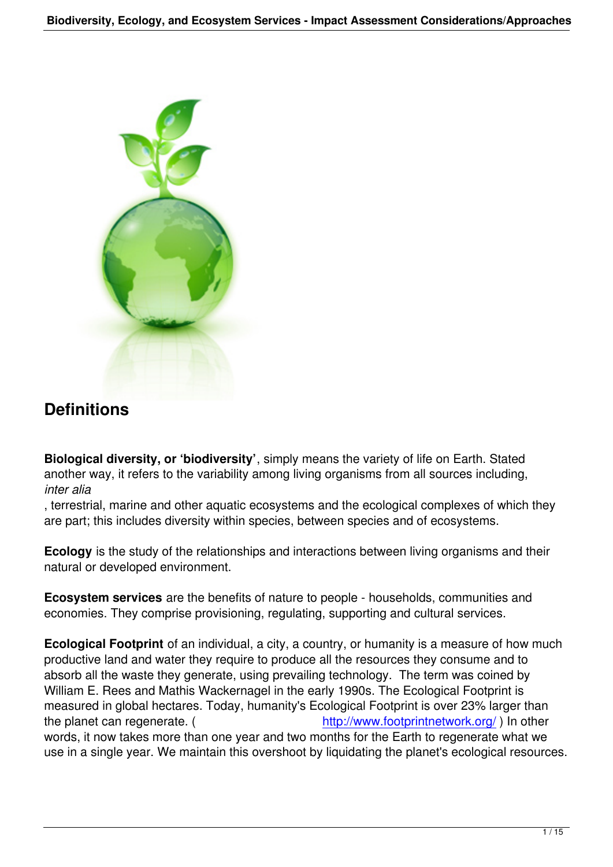

## **Definitions**

**Biological diversity, or 'biodiversity'**, simply means the variety of life on Earth. Stated another way, it refers to the variability among living organisms from all sources including, *inter alia*

, terrestrial, marine and other aquatic ecosystems and the ecological complexes of which they are part; this includes diversity within species, between species and of ecosystems.

**Ecology** is the study of the relationships and interactions between living organisms and their natural or developed environment.

**Ecosystem services** are the benefits of nature to people - households, communities and economies. They comprise provisioning, regulating, supporting and cultural services.

**Ecological Footprint** of an individual, a city, a country, or humanity is a measure of how much productive land and water they require to produce all the resources they consume and to absorb all the waste they generate, using prevailing technology. The term was coined by William E. Rees and Mathis Wackernagel in the early 1990s. The Ecological Footprint is measured in global hectares. Today, humanity's Ecological Footprint is over 23% larger than the planet can regenerate. ( http://www.footprintnetwork.org/ ) In other words, it now takes more than one year and two months for the Earth to regenerate what we use in a single year. We maintain this overshoot by liquidating the planet's ecological resources.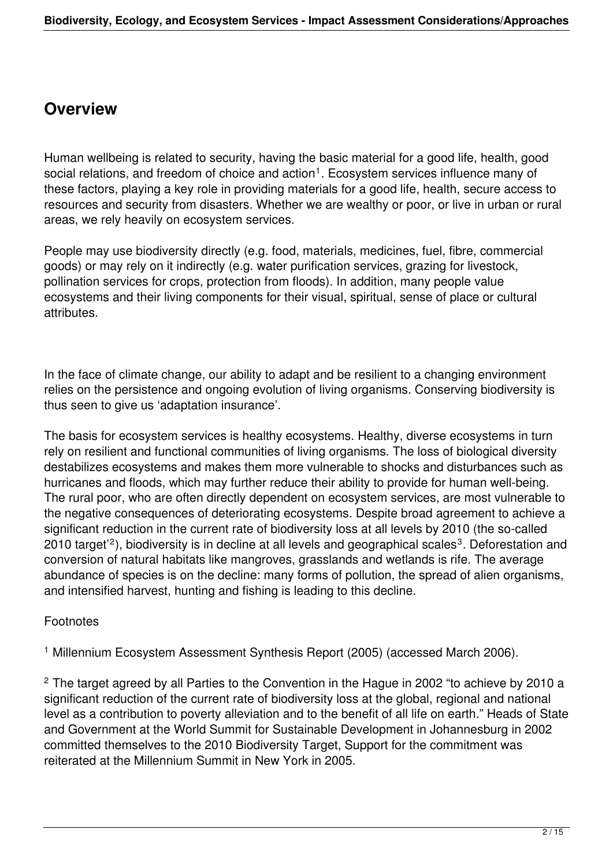## **Overview**

Human wellbeing is related to security, having the basic material for a good life, health, good social relations, and freedom of choice and action<sup>1</sup>. Ecosystem services influence many of these factors, playing a key role in providing materials for a good life, health, secure access to resources and security from disasters. Whether we are wealthy or poor, or live in urban or rural areas, we rely heavily on ecosystem services.

People may use biodiversity directly (e.g. food, materials, medicines, fuel, fibre, commercial goods) or may rely on it indirectly (e.g. water purification services, grazing for livestock, pollination services for crops, protection from floods). In addition, many people value ecosystems and their living components for their visual, spiritual, sense of place or cultural attributes.

In the face of climate change, our ability to adapt and be resilient to a changing environment relies on the persistence and ongoing evolution of living organisms. Conserving biodiversity is thus seen to give us 'adaptation insurance'.

The basis for ecosystem services is healthy ecosystems. Healthy, diverse ecosystems in turn rely on resilient and functional communities of living organisms. The loss of biological diversity destabilizes ecosystems and makes them more vulnerable to shocks and disturbances such as hurricanes and floods, which may further reduce their ability to provide for human well-being. The rural poor, who are often directly dependent on ecosystem services, are most vulnerable to the negative consequences of deteriorating ecosystems. Despite broad agreement to achieve a significant reduction in the current rate of biodiversity loss at all levels by 2010 (the so-called 2010 target'<sup>2</sup>), biodiversity is in decline at all levels and geographical scales<sup>3</sup>. Deforestation and conversion of natural habitats like mangroves, grasslands and wetlands is rife. The average abundance of species is on the decline: many forms of pollution, the spread of alien organisms, and intensified harvest, hunting and fishing is leading to this decline.

#### **Footnotes**

1 Millennium Ecosystem Assessment Synthesis Report (2005) (accessed March 2006).

 $^{\text{2}}$  The target agreed by all Parties to the Convention in the Hague in 2002 "to achieve by 2010 a significant reduction of the current rate of biodiversity loss at the global, regional and national level as a contribution to poverty alleviation and to the benefit of all life on earth." Heads of State and Government at the World Summit for Sustainable Development in Johannesburg in 2002 committed themselves to the 2010 Biodiversity Target, Support for the commitment was reiterated at the Millennium Summit in New York in 2005.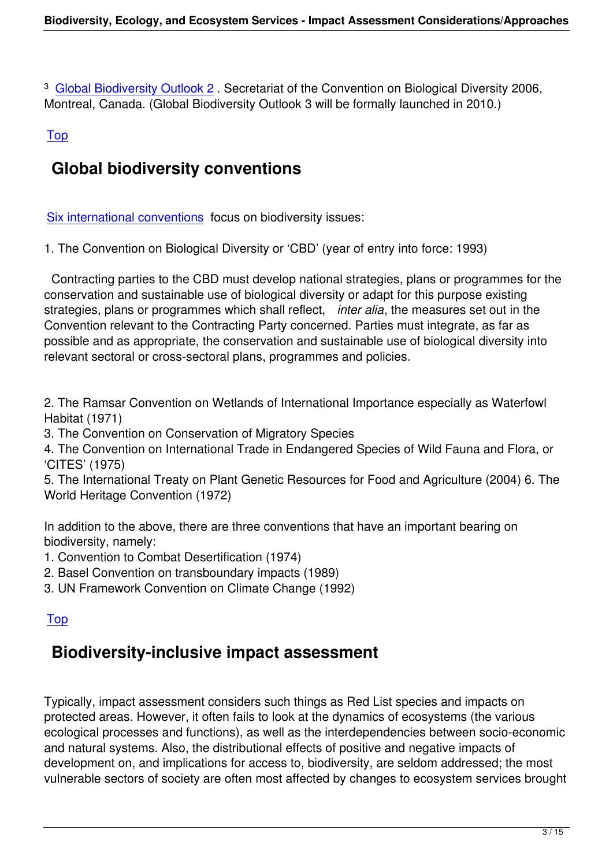<sup>3</sup> Global Biodiversity Outlook 2. Secretariat of the Convention on Biological Diversity 2006, Montreal, Canada. (Global Biodiversity Outlook 3 will be formally launched in 2010.)

T[op](http://www.cbd.int/gbo2)

# **Global biodiversity conventions**

Six international conventions focus on biodiversity issues:

1. The Convention on Biological Diversity or 'CBD' (year of entry into force: 1993)

 [Contracting parties to the CB](http://www.cbd.int/blg)D must develop national strategies, plans or programmes for the conservation and sustainable use of biological diversity or adapt for this purpose existing strategies, plans or programmes which shall reflect, *inter alia*, the measures set out in the Convention relevant to the Contracting Party concerned. Parties must integrate, as far as possible and as appropriate, the conservation and sustainable use of biological diversity into relevant sectoral or cross-sectoral plans, programmes and policies.

2. The Ramsar Convention on Wetlands of International Importance especially as Waterfowl Habitat (1971)

3. The Convention on Conservation of Migratory Species

4. The Convention on International Trade in Endangered Species of Wild Fauna and Flora, or 'CITES' (1975)

5. The International Treaty on Plant Genetic Resources for Food and Agriculture (2004) 6. The World Heritage Convention (1972)

In addition to the above, there are three conventions that have an important bearing on biodiversity, namely:

- 1. Convention to Combat Desertification (1974)
- 2. Basel Convention on transboundary impacts (1989)
- 3. UN Framework Convention on Climate Change (1992)

### Top

# **Biodiversity-inclusive impact assessment**

Typically, impact assessment considers such things as Red List species and impacts on protected areas. However, it often fails to look at the dynamics of ecosystems (the various ecological processes and functions), as well as the interdependencies between socio-economic and natural systems. Also, the distributional effects of positive and negative impacts of development on, and implications for access to, biodiversity, are seldom addressed; the most vulnerable sectors of society are often most affected by changes to ecosystem services brought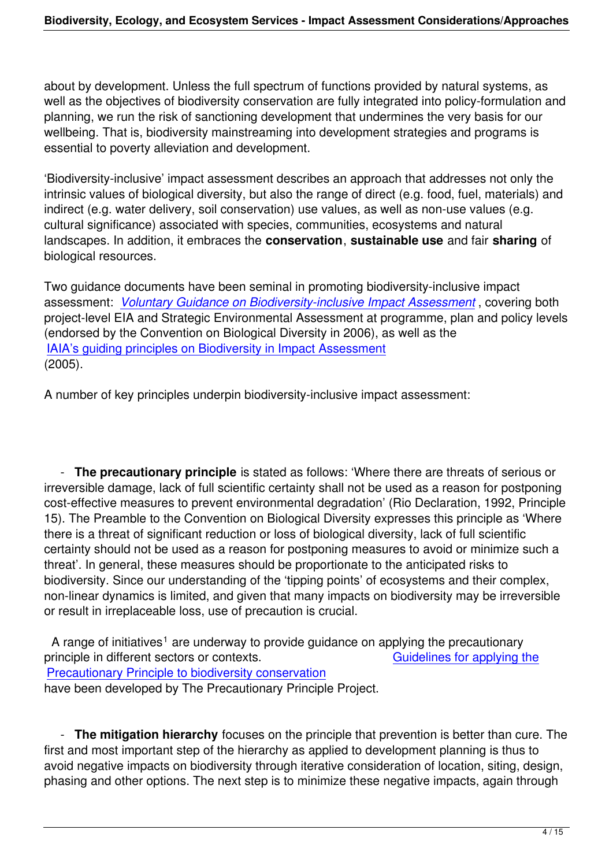about by development. Unless the full spectrum of functions provided by natural systems, as well as the objectives of biodiversity conservation are fully integrated into policy-formulation and planning, we run the risk of sanctioning development that undermines the very basis for our wellbeing. That is, biodiversity mainstreaming into development strategies and programs is essential to poverty alleviation and development.

'Biodiversity-inclusive' impact assessment describes an approach that addresses not only the intrinsic values of biological diversity, but also the range of direct (e.g. food, fuel, materials) and indirect (e.g. water delivery, soil conservation) use values, as well as non-use values (e.g. cultural significance) associated with species, communities, ecosystems and natural landscapes. In addition, it embraces the **conservation**, **sustainable use** and fair **sharing** of biological resources.

Two guidance documents have been seminal in promoting biodiversity-inclusive impact assessment: *Voluntary Guidance on Biodiversity-inclusive Impact Assessment* , covering both project-level EIA and Strategic Environmental Assessment at programme, plan and policy levels (endorsed by the Convention on Biological Diversity in 2006), as well as the IAIA's guidin[g principles on Biodiversity in Impact Assessment](http://www.cbd.int/doc/publications/imp-bio-eia-and-sea.pdf) (2005).

[A number of key principles underpin biodiversity-inclusive impa](http://www.iaia.org/publicdocuments/special-publications/SP3.pdf)ct assessment:

 - **The precautionary principle** is stated as follows: 'Where there are threats of serious or irreversible damage, lack of full scientific certainty shall not be used as a reason for postponing cost-effective measures to prevent environmental degradation' (Rio Declaration, 1992, Principle 15). The Preamble to the Convention on Biological Diversity expresses this principle as 'Where there is a threat of significant reduction or loss of biological diversity, lack of full scientific certainty should not be used as a reason for postponing measures to avoid or minimize such a threat'. In general, these measures should be proportionate to the anticipated risks to biodiversity. Since our understanding of the 'tipping points' of ecosystems and their complex, non-linear dynamics is limited, and given that many impacts on biodiversity may be irreversible or result in irreplaceable loss, use of precaution is crucial.

A range of initiatives<sup>1</sup> are underway to provide guidance on applying the precautionary principle in different sectors or contexts. Guidelines for applying the Precautionary Principle to biodiversity conservation have been developed by The Precautionary Principle Project.

 - **[The mitigation hierarchy](http://www.pprinciple.net/PP%20Guidelines_english.pdf)** focuses on the principle that prevention is better than cure. The first and most important step of the hierarchy as applied to development planning is thus to avoid negative impacts on biodiversity through iterative consideration of location, siting, design, phasing and other options. The next step is to minimize these negative impacts, again through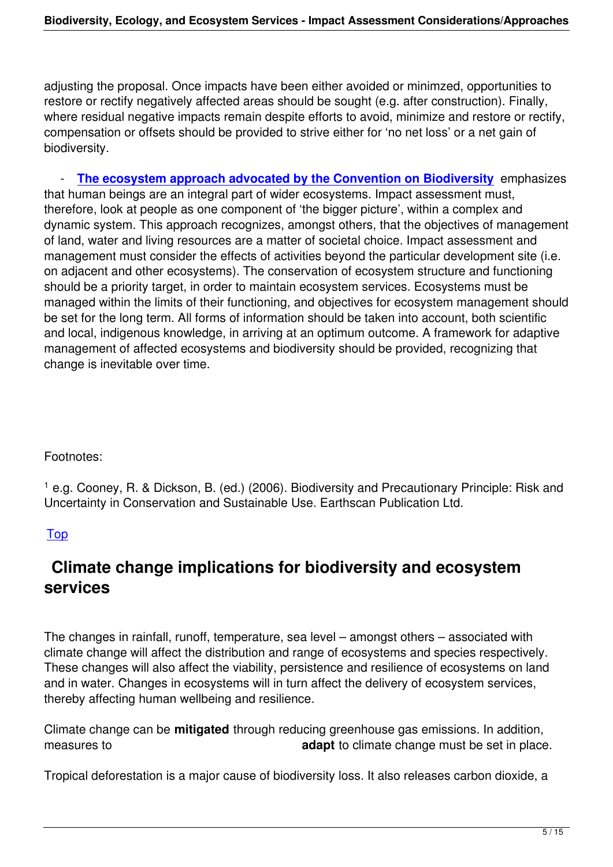adjusting the proposal. Once impacts have been either avoided or minimzed, opportunities to restore or rectify negatively affected areas should be sought (e.g. after construction). Finally, where residual negative impacts remain despite efforts to avoid, minimize and restore or rectify, compensation or offsets should be provided to strive either for 'no net loss' or a net gain of biodiversity.

 - **The ecosystem approach advocated by the Convention on Biodiversity** emphasizes that human beings are an integral part of wider ecosystems. Impact assessment must, therefore, look at people as one component of 'the bigger picture', within a complex and dyna[mic system. This approach recognizes, amongst others, that the objectives of](http://www.cbd.int/ecosystem/sourcebook) management of land, water and living resources are a matter of societal choice. Impact assessment and management must consider the effects of activities beyond the particular development site (i.e. on adjacent and other ecosystems). The conservation of ecosystem structure and functioning should be a priority target, in order to maintain ecosystem services. Ecosystems must be managed within the limits of their functioning, and objectives for ecosystem management should be set for the long term. All forms of information should be taken into account, both scientific and local, indigenous knowledge, in arriving at an optimum outcome. A framework for adaptive management of affected ecosystems and biodiversity should be provided, recognizing that change is inevitable over time.

#### Footnotes:

1 e.g. Cooney, R. & Dickson, B. (ed.) (2006). Biodiversity and Precautionary Principle: Risk and Uncertainty in Conservation and Sustainable Use. Earthscan Publication Ltd.

#### Top

### **Climate change implications for biodiversity and ecosystem [ser](#PageTop)vices**

The changes in rainfall, runoff, temperature, sea level – amongst others – associated with climate change will affect the distribution and range of ecosystems and species respectively. These changes will also affect the viability, persistence and resilience of ecosystems on land and in water. Changes in ecosystems will in turn affect the delivery of ecosystem services, thereby affecting human wellbeing and resilience.

Climate change can be **mitigated** through reducing greenhouse gas emissions. In addition, measures to **adapt** to climate change must be set in place.

Tropical deforestation is a major cause of biodiversity loss. It also releases carbon dioxide, a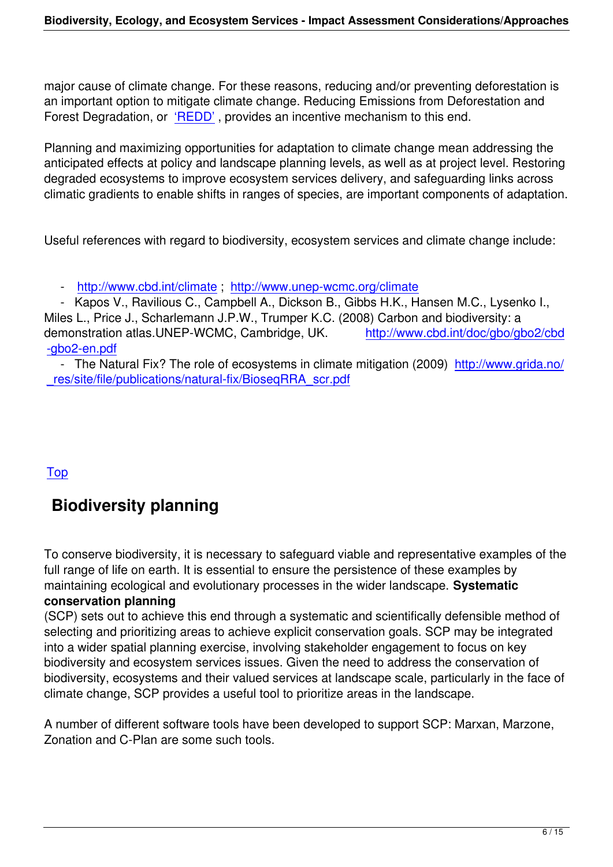major cause of climate change. For these reasons, reducing and/or preventing deforestation is an important option to mitigate climate change. Reducing Emissions from Deforestation and Forest Degradation, or 'REDD' , provides an incentive mechanism to this end.

Planning and maximizing opportunities for adaptation to climate change mean addressing the anticipated effects at p[olicy and](http://www.cbd.int/forest/redd) landscape planning levels, as well as at project level. Restoring degraded ecosystems to improve ecosystem services delivery, and safeguarding links across climatic gradients to enable shifts in ranges of species, are important components of adaptation.

Useful references with regard to biodiversity, ecosystem services and climate change include:

- http://www.cbd.int/climate ; http://www.unep-wcmc.org/climate

 - Kapos V., Ravilious C., Campbell A., Dickson B., Gibbs H.K., Hansen M.C., Lysenko I., Miles L., Price J., Scharlemann J.P.W., Trumper K.C. (2008) Carbon and biodiversity: a demo[nstration atlas.UNEP-WCM](http://www.cbd.int/climate)[C, Cambridge, UK. http://www](http://www.unep-wcmc.org/climate).cbd.int/doc/gbo/gbo2/cbd -gbo2-en.pdf

 - The Natural Fix? The role of ecosystems in climate mitigation (2009) http://www.grida.no/ \_res/site/file/publications/natural-fix/BioseqRRA\_scr.pdf

#### Top

# **Biodiversity planning**

To conserve biodiversity, it is necessary to safeguard viable and representative examples of the full range of life on earth. It is essential to ensure the persistence of these examples by maintaining ecological and evolutionary processes in the wider landscape. **Systematic conservation planning**

(SCP) sets out to achieve this end through a systematic and scientifically defensible method of selecting and prioritizing areas to achieve explicit conservation goals. SCP may be integrated into a wider spatial planning exercise, involving stakeholder engagement to focus on key biodiversity and ecosystem services issues. Given the need to address the conservation of biodiversity, ecosystems and their valued services at landscape scale, particularly in the face of climate change, SCP provides a useful tool to prioritize areas in the landscape.

A number of different software tools have been developed to support SCP: Marxan, Marzone, Zonation and C-Plan are some such tools.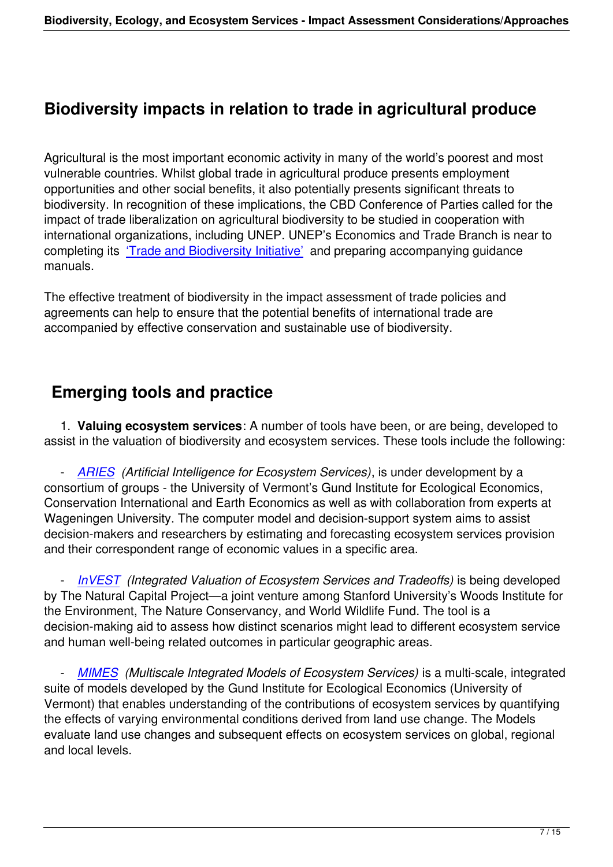### **Biodiversity impacts in relation to trade in agricultural produce**

Agricultural is the most important economic activity in many of the world's poorest and most vulnerable countries. Whilst global trade in agricultural produce presents employment opportunities and other social benefits, it also potentially presents significant threats to biodiversity. In recognition of these implications, the CBD Conference of Parties called for the impact of trade liberalization on agricultural biodiversity to be studied in cooperation with international organizations, including UNEP. UNEP's Economics and Trade Branch is near to completing its 'Trade and Biodiversity Initiative' and preparing accompanying guidance manuals.

The effective tr[eatment of biodiversity in the imp](http://www.unep.ch/etb/areas/biodivAgriSector.php)act assessment of trade policies and agreements can help to ensure that the potential benefits of international trade are accompanied by effective conservation and sustainable use of biodiversity.

## **Emerging tools and practice**

 1. **Valuing ecosystem services**: A number of tools have been, or are being, developed to assist in the valuation of biodiversity and ecosystem services. These tools include the following:

 - *ARIES (Artificial Intelligence for Ecosystem Services)*, is under development by a consortium of groups - the University of Vermont's Gund Institute for Ecological Economics, Conservation International and Earth Economics as well as with collaboration from experts at Wage[ningen](http://esd.uvm.edu/uploads/media/ARIES.pdf) University. The computer model and decision-support system aims to assist decision-makers and researchers by estimating and forecasting ecosystem services provision and their correspondent range of economic values in a specific area.

 - *InVEST (Integrated Valuation of Ecosystem Services and Tradeoffs)* is being developed by The Natural Capital Project—a joint venture among Stanford University's Woods Institute for the Environment, The Nature Conservancy, and World Wildlife Fund. The tool is a decisi[on-maki](http://www.naturalcapitalproject.org/InVEST.html)ng aid to assess how distinct scenarios might lead to different ecosystem service and human well-being related outcomes in particular geographic areas.

 - *MIMES (Multiscale Integrated Models of Ecosystem Services)* is a multi-scale, integrated suite of models developed by the Gund Institute for Ecological Economics (University of Vermont) that enables understanding of the contributions of ecosystem services by quantifying the ef[fects of](http://www.uvm.edu/giee/mimes/) varying environmental conditions derived from land use change. The Models evaluate land use changes and subsequent effects on ecosystem services on global, regional and local levels.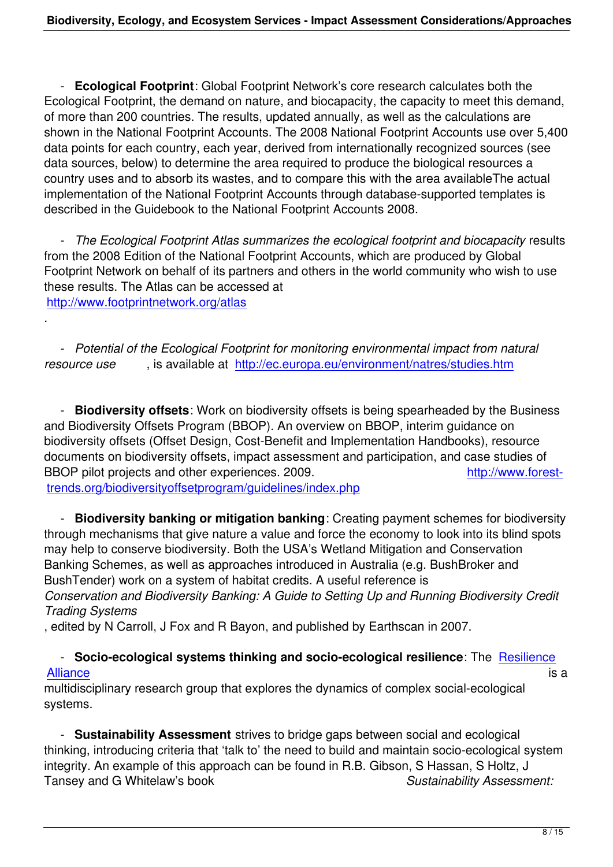- **Ecological Footprint**: Global Footprint Network's core research calculates both the Ecological Footprint, the demand on nature, and biocapacity, the capacity to meet this demand, of more than 200 countries. The results, updated annually, as well as the calculations are shown in the National Footprint Accounts. The 2008 National Footprint Accounts use over 5,400 data points for each country, each year, derived from internationally recognized sources (see data sources, below) to determine the area required to produce the biological resources a country uses and to absorb its wastes, and to compare this with the area availableThe actual implementation of the National Footprint Accounts through database-supported templates is described in the Guidebook to the National Footprint Accounts 2008.

 - *The Ecological Footprint Atlas summarizes the ecological footprint and biocapacity* results from the 2008 Edition of the National Footprint Accounts, which are produced by Global Footprint Network on behalf of its partners and others in the world community who wish to use these results. The Atlas can be accessed at http://www.footprintnetwork.org/atlas

 - *[Potential of the Ecological Footp](http://www.footprintnetwork.org/atlas)rint for monitoring environmental impact from natural resource use* , is available at http://ec.europa.eu/environment/natres/studies.htm

 - **Biodiversity offsets**: Work [on biodiversity offsets is being spearheaded by the B](http://ec.europa.eu/environment/natres/studies.htm)usiness and Biodiversity Offsets Program (BBOP). An overview on BBOP, interim guidance on biodiversity offsets (Offset Design, Cost-Benefit and Implementation Handbooks), resource documents on biodiversity offsets, impact assessment and participation, and case studies of BBOP pilot projects and other experiences. 2009.

trends.org/biodiversityoffsetprogram/guidelines/index.php

.

 - **Biodiversity banking or mitigation banking**: Creating payment sche[mes for biodiversity](http://www.forest-trends.org/biodiversityoffsetprogram/guidelines/index.php) [through mechanisms that give nature a value and force the](http://www.forest-trends.org/biodiversityoffsetprogram/guidelines/index.php) economy to look into its blind spots may help to conserve biodiversity. Both the USA's Wetland Mitigation and Conservation Banking Schemes, as well as approaches introduced in Australia (e.g. BushBroker and BushTender) work on a system of habitat credits. A useful reference is *Conservation and Biodiversity Banking: A Guide to Setting Up and Running Biodiversity Credit Trading Systems*

, edited by N Carroll, J Fox and R Bayon, and published by Earthscan in 2007.

#### - **Socio-ecological systems thinking and socio-ecological resilience**: The Resilience <mark>Alliance</mark> is a set of the set of the set of the set of the set of the set of the set of the set of the set of th

multidisciplinary research group that explores the dynamics of complex social-ecological systems.

 - **[Su](http://www.resalliance.org/)stainability Assessment** strives to bridge gaps between social and ecological thinking, introducing criteria that 'talk to' the need to build and maintain socio-ecological system integrity. An example of this approach can be found in R.B. Gibson, S Hassan, S Holtz, J Tansey and G Whitelaw's book *Sustainability Assessment:*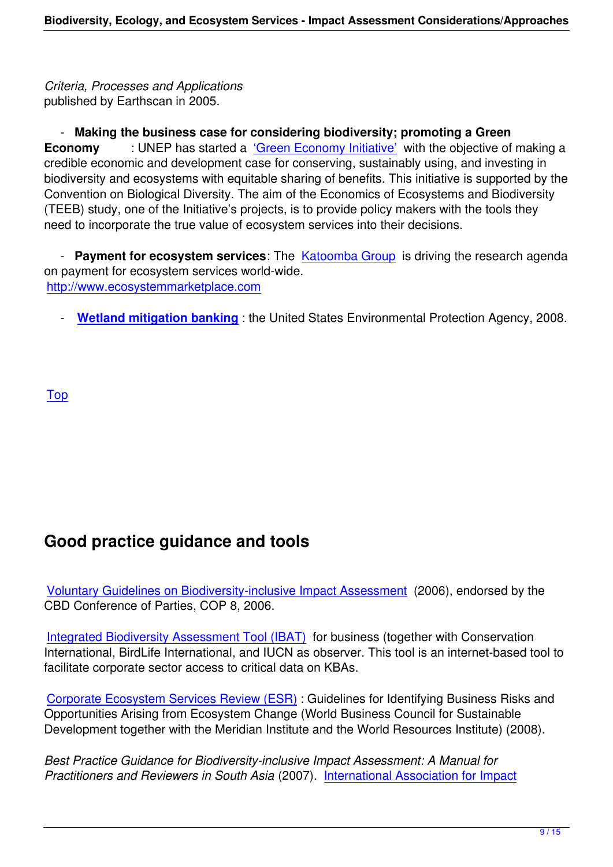#### - **Making the business case for considering biodiversity; promoting a Green**

**Economy** : UNEP has started a 'Green Economy Initiative' with the objective of making a credible economic and development case for conserving, sustainably using, and investing in biodiversity and ecosystems with equitable sharing of benefits. This initiative is supported by the Convention on Biological Diversity. Th[e aim of the Economics of](http://www.unep.org/greeneconomy) Ecosystems and Biodiversity (TEEB) study, one of the Initiative's projects, is to provide policy makers with the tools they need to incorporate the true value of ecosystem services into their decisions.

 - **Payment for ecosystem services**: The Katoomba Group is driving the research agenda on payment for ecosystem services world-wide. http://www.ecosystemmarketplace.com

**Wetland mitigation banking**: the Unite[d States Environm](http://www.katoombagroup.org/)ental Protection Agency, 2008.

Top

# **Good practice guidance and tools**

Voluntary Guidelines on Biodiversity-inclusive Impact Assessment (2006), endorsed by the CBD Conference of Parties, COP 8, 2006.

[Integrated Biodiversity Assessment Tool \(IBAT\) for business \(toge](http://www.cbd.int/doc/publications/cbd-ts-26-en.pdf)ther with Conservation International, BirdLife International, and IUCN as observer. This tool is an internet-based tool to facilitate corporate sector access to critical data on KBAs.

[Corporate Ecosystem Services Review \(ESR\)](http://www.birdlife.org/) : Guidelines for Identifying Business Risks and Opportunities Arising from Ecosystem Change (World Business Council for Sustainable Development together with the Meridian Institute and the World Resources Institute) (2008).

*[Best Practice Guidance for Biodiversity-inclusiv](http://www.wbcsd.org/web/esr.htm)e Impact Assessment: A Manual for Practitioners and Reviewers in South Asia* (2007). International Association for Impact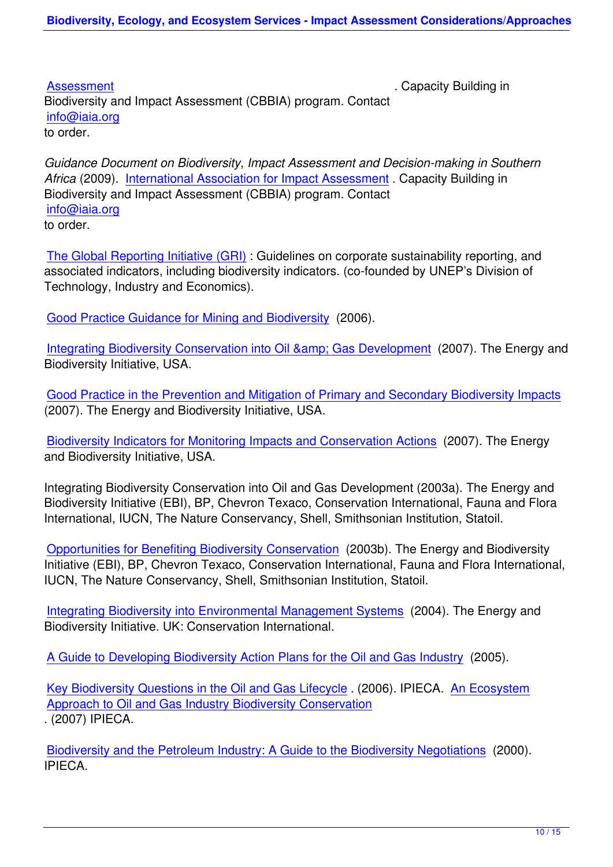Assessment . Capacity Building in Biodiversity and Impact Assessment (CBBIA) program. Contact info@iaia.org [to order.](http://www.iaia.org/) 

*[Guidance Doc](mailto:info@iaia.org)ument on Biodiversity, Impact Assessment and Decision-making in Southern Africa* (2009). International Association for Impact Assessment . Capacity Building in Biodiversity and Impact Assessment (CBBIA) program. Contact info@iaia.org to order.

[The Global R](mailto:info@iaia.org)eporting Initiative (GRI) : Guidelines on corporate sustainability reporting, and associated indicators, including biodiversity indicators. (co-founded by UNEP's Division of Technology, Industry and Economics).

[Good Practice Guidance for Mining a](http://www.globalreporting.org/)nd Biodiversity (2006).

Integrating Biodiversity Conservation into Oil & amp: Gas Development (2007). The Energy and [Biodiversity Initiative, USA.](http://www.goodpracticemining.org/) 

[Good Practice in the Prevention and Mitigation of Primary and Seconda](http://www.theebi.org/pdfs/ebi_report.pdf)ry Biodiversity Impacts (2007). The Energy and Biodiversity Initiative, USA.

[Biodiversity Indicators for Monitoring Impacts and Conservation Actions \(2007\). The Energy](http://www.theebi.org/pdfs/practice.pdf) and Biodiversity Initiative, USA.

[Integrating Biodiversity Conservation into Oil and Gas Development \(200](http://www.theebi.org/pdfs/indicators.pdf)3a). The Energy and Biodiversity Initiative (EBI), BP, Chevron Texaco, Conservation International, Fauna and Flora International, IUCN, The Nature Conservancy, Shell, Smithsonian Institution, Statoil.

Opportunities for Benefiting Biodiversity Conservation (2003b). The Energy and Biodiversity Initiative (EBI), BP, Chevron Texaco, Conservation International, Fauna and Flora International, IUCN, The Nature Conservancy, Shell, Smithsonian Institution, Statoil.

[Integrating Biodiversity into Environmental Manageme](http://www.theebi.org/pdfs/opportunities.pdf)nt Systems (2004). The Energy and Biodiversity Initiative. UK: Conservation International.

[A Guide to Developing Biodiversity Action Plans for the Oil and Ga](http://www.theebi.org/pdfs/ems.pdf)s Industry (2005).

Key Biodiversity Questions in the Oil and Gas Lifecycle . (2006). IPIECA. An Ecosystem [Approach to Oil and Gas Industry Biodiversity Conservation](http://www.ipieca.org/activities/biodiversity/bio_publications.php#2) . (2007) IPIECA.

[Biodiversity and the Petroleum Industry: A Guide to the Biod](http://www.ipieca.org/activities/biodiversity/bio_publications.php#5)iversity Negot[iations \(2000\).](http://www.ipieca.org/activities/biodiversity/bio_publications.php#5) IPIECA.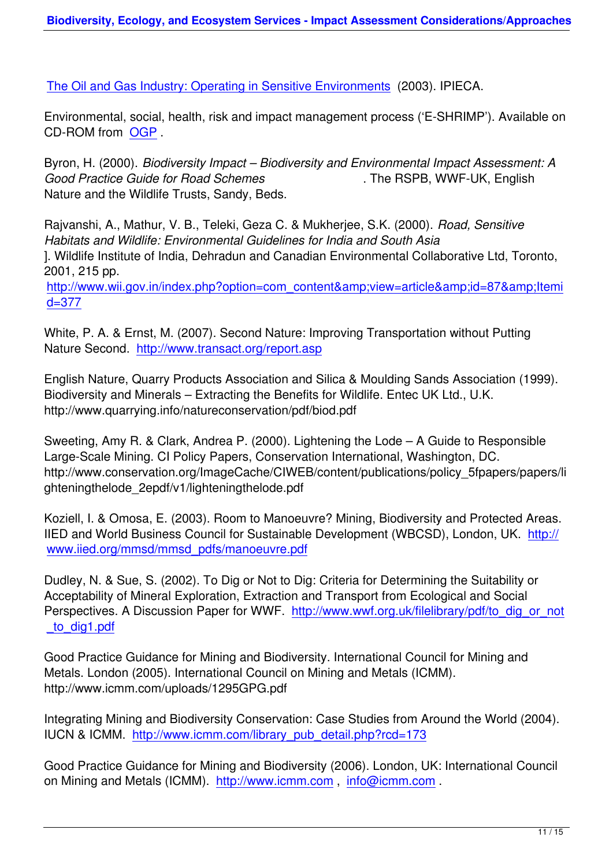The Oil and Gas Industry: Operating in Sensitive Environments (2003). IPIECA.

Environmental, social, health, risk and impact management process ('E-SHRIMP'). Available on [CD-ROM from OGP](http://www.ipieca.org/library) .

Byron, H. (2000). *Biodiversity Impact – Biodiversity and Environmental Impact Assessment: A Good Practice [Guide](http://www.ogp.org.uk/) for Road Schemes* . The RSPB, WWF-UK, English Nature and the Wildlife Trusts, Sandy, Beds.

Rajvanshi, A., Mathur, V. B., Teleki, Geza C. & Mukherjee, S.K. (2000). *Road, Sensitive Habitats and Wildlife: Environmental Guidelines for India and South Asia* ]. Wildlife Institute of India, Dehradun and Canadian Environmental Collaborative Ltd, Toronto, 2001, 215 pp.

http://www.wii.gov.in/index.php?option=com\_content&view=article&id=87&Itemi d=377

[White, P. A. & Ernst, M. \(2007\). Second Nature: Improving Transportation without Putting](http://www.wii.gov.in/index.php?option=com_content&view=article&id=87&Itemid=377) [Nature](http://www.wii.gov.in/index.php?option=com_content&view=article&id=87&Itemid=377) Second. http://www.transact.org/report.asp

English Nature, Quarry Products Association and Silica & Moulding Sands Association (1999). Biodiversity and [Minerals – Extracting the Benefits f](http://www.transact.org/report.asp)or Wildlife. Entec UK Ltd., U.K. http://www.quarrying.info/natureconservation/pdf/biod.pdf

Sweeting, Amy R. & Clark, Andrea P. (2000). Lightening the Lode – A Guide to Responsible Large-Scale Mining. CI Policy Papers, Conservation International, Washington, DC. http://www.conservation.org/ImageCache/CIWEB/content/publications/policy\_5fpapers/papers/li ghteningthelode\_2epdf/v1/lighteningthelode.pdf

Koziell, I. & Omosa, E. (2003). Room to Manoeuvre? Mining, Biodiversity and Protected Areas. IIED and World Business Council for Sustainable Development (WBCSD), London, UK. http:// www.iied.org/mmsd/mmsd\_pdfs/manoeuvre.pdf

Dudley, N. & Sue, S. (2002). To Dig or Not to Dig: Criteria for Determining the Suitability [or](http://www.iied.org/mmsd/mmsd_pdfs/manoeuvre.pdf) [Acceptability of Mineral Exploration, Extraction a](http://www.iied.org/mmsd/mmsd_pdfs/manoeuvre.pdf)nd Transport from Ecological and Social Perspectives. A Discussion Paper for WWF. http://www.wwf.org.uk/filelibrary/pdf/to\_dig\_or\_not \_to\_dig1.pdf

Good Practice Guidance for Mining and Biodi[versity. International Council for Mining and](http://www.wwf.org.uk/filelibrary/pdf/to_dig_or_not_to_dig1.pdf) [Metals. Lond](http://www.wwf.org.uk/filelibrary/pdf/to_dig_or_not_to_dig1.pdf)on (2005). International Council on Mining and Metals (ICMM). http://www.icmm.com/uploads/1295GPG.pdf

Integrating Mining and Biodiversity Conservation: Case Studies from Around the World (2004). IUCN & ICMM. http://www.icmm.com/library\_pub\_detail.php?rcd=173

Good Practice Guidance for Mining and Biodiversity (2006). London, UK: International Council on Mining and [Metals \(ICMM\). http://www.icmm.com](http://www.icmm.com/library_pub_detail.php?rcd=173) , info@icmm.com .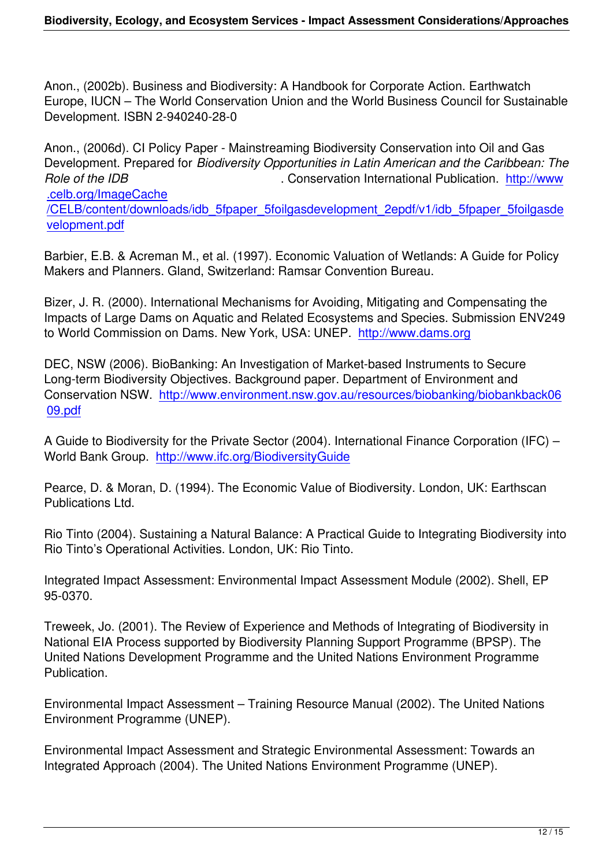Anon., (2002b). Business and Biodiversity: A Handbook for Corporate Action. Earthwatch Europe, IUCN – The World Conservation Union and the World Business Council for Sustainable Development. ISBN 2-940240-28-0

Anon., (2006d). CI Policy Paper - Mainstreaming Biodiversity Conservation into Oil and Gas Development. Prepared for *Biodiversity Opportunities in Latin American and the Caribbean: The Role of the IDB* . Conservation International Publication. http://www .celb.org/ImageCache

/CELB/content/downloads/idb\_5fpaper\_5foilgasdevelopment\_2epdf/v1/idb\_5fpaper\_5foilgasde velopment.pdf

[Barbier, E.B. & Acreman M., et al. \(1997\). Economic Valuation of Wetlands: A Guide for Policy](http://www.celb.org/ImageCache%20/CELB/content/downloads/idb_5fpaper_5foilgasdevelopment_2epdf/v1/idb_5fpaper_5foilgasdevelopment.pdf) [Makers and Pla](http://www.celb.org/ImageCache%20/CELB/content/downloads/idb_5fpaper_5foilgasdevelopment_2epdf/v1/idb_5fpaper_5foilgasdevelopment.pdf)nners. Gland, Switzerland: Ramsar Convention Bureau.

Bizer, J. R. (2000). International Mechanisms for Avoiding, Mitigating and Compensating the Impacts of Large Dams on Aquatic and Related Ecosystems and Species. Submission ENV249 to World Commission on Dams. New York, USA: UNEP. http://www.dams.org

DEC, NSW (2006). BioBanking: An Investigation of Market-based Instruments to Secure Long-term Biodiversity Objectives. Background paper. D[epartment of Environm](http://www.dams.org/)ent and Conservation NSW. http://www.environment.nsw.gov.au/resources/biobanking/biobankback06 09.pdf

A Guide to Biodiversi[ty for the Private Sector \(2004\). International Finance Corporation \(IFC\) –](http://www.environment.nsw.gov.au/resources/biobanking/biobankback0609.pdf) [World B](http://www.environment.nsw.gov.au/resources/biobanking/biobankback0609.pdf)ank Group. http://www.ifc.org/BiodiversityGuide

Pearce, D. & Moran, D. (1994). The Economic Value of Biodiversity. London, UK: Earthscan Publications Ltd.

Rio Tinto (2004). Sustaining a Natural Balance: A Practical Guide to Integrating Biodiversity into Rio Tinto's Operational Activities. London, UK: Rio Tinto.

Integrated Impact Assessment: Environmental Impact Assessment Module (2002). Shell, EP 95-0370.

Treweek, Jo. (2001). The Review of Experience and Methods of Integrating of Biodiversity in National EIA Process supported by Biodiversity Planning Support Programme (BPSP). The United Nations Development Programme and the United Nations Environment Programme Publication.

Environmental Impact Assessment – Training Resource Manual (2002). The United Nations Environment Programme (UNEP).

Environmental Impact Assessment and Strategic Environmental Assessment: Towards an Integrated Approach (2004). The United Nations Environment Programme (UNEP).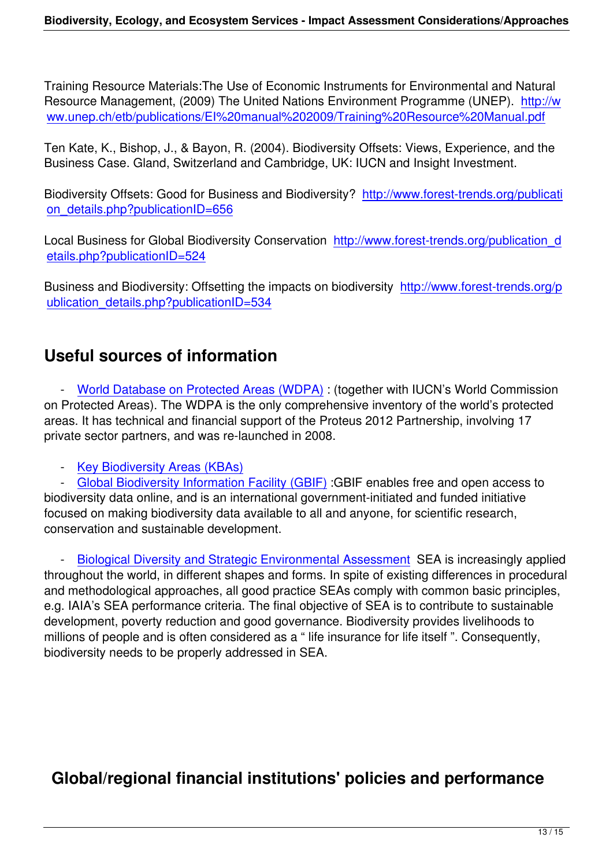Training Resource Materials:The Use of Economic Instruments for Environmental and Natural Resource Management, (2009) The United Nations Environment Programme (UNEP). http://w ww.unep.ch/etb/publications/EI%20manual%202009/Training%20Resource%20Manual.pdf

Ten Kate, K., Bishop, J., & Bayon, R. (2004). Biodiversity Offsets: Views, Experience, a[nd the](http://www.unep.ch/etb/publications/EI%20manual%202009/Training%20Resource%20Manual.pdf) [Business Case. Gland, Switzerland and Cambridge, UK: IUCN and Insight Investment.](http://www.unep.ch/etb/publications/EI%20manual%202009/Training%20Resource%20Manual.pdf)

Biodiversity Offsets: Good for Business and Biodiversity? http://www.forest-trends.org/publicati on\_details.php?publicationID=656

Local Business for Global Biodiversity Conservation http://www.forest-trends.org/publication d [etails.php?publicationID=524](http://www.forest-trends.org/publication_details.php?publicationID=656)

Business and Biodiversity: Offsetting the impacts on [biodiversity http://www.forest-trends.org/p](http://www.forest-trends.org/publication_details.php?publicationID=524) [ublication\\_details.php?publica](http://www.forest-trends.org/publication_details.php?publicationID=524)tionID=534

## **[Useful sources of information](http://www.forest-trends.org/publication_details.php?publicationID=534)**

 - World Database on Protected Areas (WDPA) : (together with IUCN's World Commission on Protected Areas). The WDPA is the only comprehensive inventory of the world's protected areas. It has technical and financial support of the Proteus 2012 Partnership, involving 17 privat[e sector partners, and was re-launched in 200](http://www.wdpa.org/)8.

- Key Biodiversity Areas (KBAs)

 - Global Biodiversity Information Facility (GBIF) :GBIF enables free and open access to biodiversity data online, and is an international government-initiated and funded initiative focus[ed on making biodiversity data](http://www.iucn.org/dbtw-wpd/edocs/PAG-015.pdf) available to all and anyone, for scientific research, conse[rvation and sustainable development.](http://www.gbif.org/) 

 - Biological Diversity and Strategic Environmental Assessment SEA is increasingly applied throughout the world, in different shapes and forms. In spite of existing differences in procedural and methodological approaches, all good practice SEAs comply with common basic principles, e.g. I[AIA's SEA performance criteria. The final objective of SEA is to](http://docs1.eia.nl/cms/KS%208%20SEA%20and%20biodiversity%20engels.pdf) contribute to sustainable development, poverty reduction and good governance. Biodiversity provides livelihoods to millions of people and is often considered as a " life insurance for life itself ". Consequently, biodiversity needs to be properly addressed in SEA.

# **Global/regional financial institutions' policies and performance**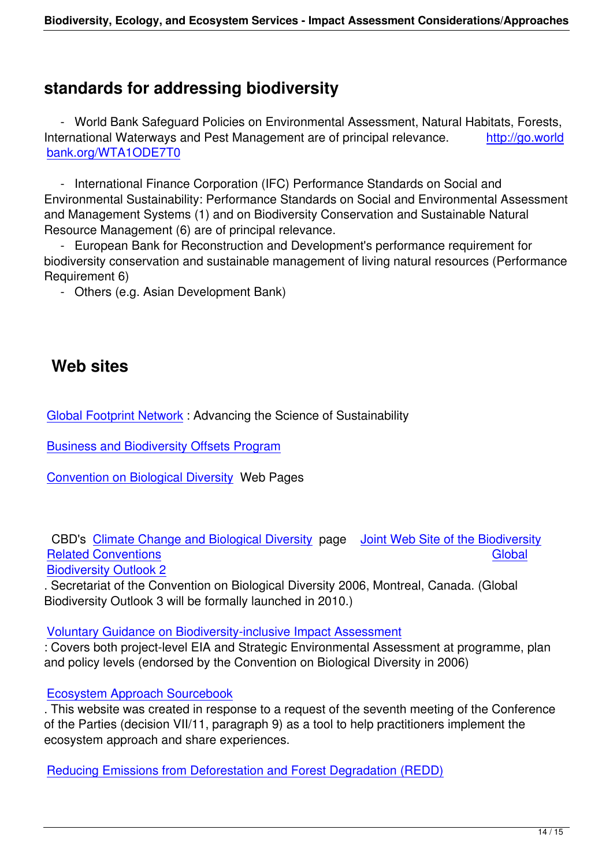### **standards for addressing biodiversity**

 - World Bank Safeguard Policies on Environmental Assessment, Natural Habitats, Forests, International Waterways and Pest Management are of principal relevance. http://go.world bank.org/WTA1ODE7T0

 - International Finance Corporation (IFC) Performance Standards on Social [and](http://go.worldbank.org/WTA1ODE7T0) [Environmental Sustainab](http://go.worldbank.org/WTA1ODE7T0)ility: Performance Standards on Social and Environmental Assessment and Management Systems (1) and on Biodiversity Conservation and Sustainable Natural Resource Management (6) are of principal relevance.

 - European Bank for Reconstruction and Development's performance requirement for biodiversity conservation and sustainable management of living natural resources (Performance Requirement 6)

- Others (e.g. Asian Development Bank)

# **Web sites**

Global Footprint Network : Advancing the Science of Sustainability

Business and Biodiversity Offsets Program

[Convention on Biological](http://www.footprintnetwork.org/) Diversity Web Pages

 [CBD's Climate Change and Biolo](http://www.cbd.int/)gical Diversity page Joint Web Site of the Biodiversity Related Conventions **Global** Biodiversity Outlook 2

. Secret[ariat of the Convention on Biological Diver](http://www.cbd.int/climate)sity 200[6, Montreal, Canada. \(Global](http://www.cbd.int/blg) [Biodiversity Outlook 3](http://www.cbd.int/blg) will be formally launched in 2010.)

#### [Voluntary Guidance on](http://www.cbd.int/gbo2) Biodiversity-inclusive Impact Assessment

: Covers both project-level EIA and Strategic Environmental Assessment at programme, plan and policy levels (endorsed by the Convention on Biological Diversity in 2006)

### [Ecosystem Approach Sourcebook](http://www.cbd.int/doc/publications/imp-bio-eia-and-sea.pdf)

. This website was created in response to a request of the seventh meeting of the Conference of the Parties (decision VII/11, paragraph 9) as a tool to help practitioners implement the [ecosystem approach and share ex](http://www.cbd.int/ecosystem/sourcebook)periences.

Reducing Emissions from Deforestation and Forest Degradation (REDD)